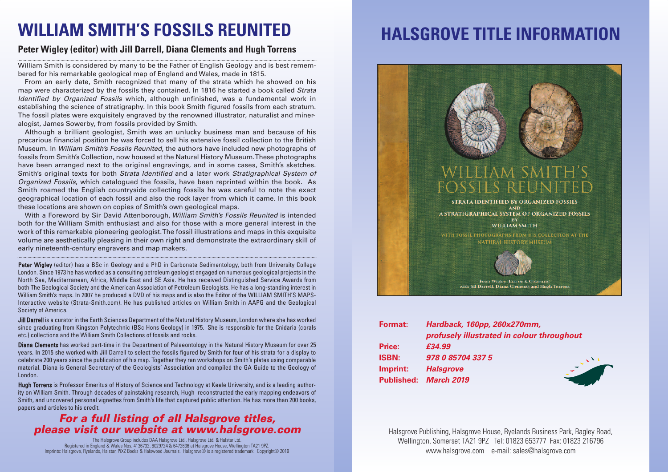### **WILLIAM SMITH'S FOSSILS REUNITED**

#### **Peter Wigley (editor) with Jill Darrell, Diana Clements and Hugh Torrens**

William Smith is considered by many to be the Father of English Geology and is best remembered for his remarkable geological map of England and Wales, made in 1815.

From an early date, Smith recognized that many of the strata which he showed on his map were characterized by the fossils they contained. In 1816 he started a book called Strata Identified by Organized Fossils which, although unfinished, was a fundamental work in establishing the science of stratigraphy. In this book Smith figured fossils from each stratum. The fossil plates were exquisitely engraved by the renowned illustrator, naturalist and mineralogist, James Sowerby, from fossils provided by Smith.

Although a brilliant geologist, Smith was an unlucky business man and because of his precarious financial position he was forced to sell his extensive fossil collection to the British Museum. In William Smith's Fossils Reunited, the authors have included new photographs of fossils from Smith's Collection, now housed at the Natural History Museum.These photographs have been arranged next to the original engravings, and in some cases, Smith's sketches. Smith's original texts for both Strata Identified and a later work Stratigraphical System of Organized Fossils, which catalogued the fossils, have been reprinted within the book. As Smith roamed the English countryside collecting fossils he was careful to note the exact geographical location of each fossil and also the rock layer from which it came. In this book these locations are shown on copies of Smith's own geological maps.

With a Foreword by Sir David Attenborough, William Smith's Fossils Reunited is intended both for the William Smith enthusiast and also for those with a more general interest in the work of this remarkable pioneering geologist.The fossil illustrations and maps in this exquisite volume are aesthetically pleasing in their own right and demonstrate the extraordinary skill of early nineteenth-century engravers and map makers.

Peter Wigley (editor) has a BSc in Geology and a PhD in Carbonate Sedimentology, both from University College London. Since 1973 he has worked as a consulting petroleum geologist engaged on numerous geological projects in the North Sea, Mediterranean, Africa, Middle East and SE Asia. He has received Distinguished Service Awards from both The Geological Society and the American Association of Petroleum Geologists. He has a long-standing interest in William Smith's maps. In 2007 he produced a DVD of his maps and is also the Editor of the WILLIAM SMITH'S MAPS-Interactive website (Strata-Smith.com). He has published articles on William Smith in AAPG and the Geological Society of America.

Jill Darrell is a curator in the Earth Sciences Department of the Natural History Museum, London where she has worked since graduating from Kingston Polytechnic (BSc Hons Geology) in 1975. She is responsible for the Cnidaria (corals etc.) collections and the William Smith Collections of fossils and rocks.

Diana Clements has worked part-time in the Department of Palaeontology in the Natural History Museum for over 25 years. In 2015 she worked with Jill Darrell to select the fossils figured by Smith for four of his strata for a display to celebrate 200 years since the publication of his map. Together they ran workshops on Smith's plates using comparable material. Diana is General Secretary of the Geologists' Association and compiled the GA Guide to the Geology of London.

Hugh Torrens is Professor Emeritus of History of Science and Technology at Keele University, and is a leading authority on William Smith. Through decades of painstaking research, Hugh reconstructed the early mapping endeavors of Smith, and uncovered personal vignettes from Smith's life that captured public attention. He has more than 200 books, papers and articles to his credit.

### *For a full listing of all Halsgrove titles, please visit our website at www.halsgrove.com*

The Halsgrove Group includes DAA Halsgrove Ltd., Halsgrove Ltd. & Halstar Ltd. Registered in England & Wales Nos. 4136732, 6029724 & 6472636 at Halsgrove House, Wellington TA21 9PZ. Imprints: Halsgrove, Ryelands, Halstar, PiXZ Books & Halswood Journals. Halsgrove® is a registered trademark. Copyright© 2019

# **HALSGROVE TITLE INFORMATION**



| .            | $1191$ GDGON, TOODD, EUUAET VIIIIIII       |
|--------------|--------------------------------------------|
|              | profusely illustrated in colour throughout |
| Price:       | £34.99                                     |
| <b>ISBN:</b> | 978 0 85704 337 5                          |
| Imprint:     | <b>Halsgrove</b>                           |
|              | Published: March 2019                      |
|              |                                            |

Halsgrove Publishing, Halsgrove House, Ryelands Business Park, Bagley Road, Wellington, Somerset TA21 9PZ Tel: 01823 653777 Fax: 01823 216796 www.halsgrove.com e-mail: sales@halsgrove.com